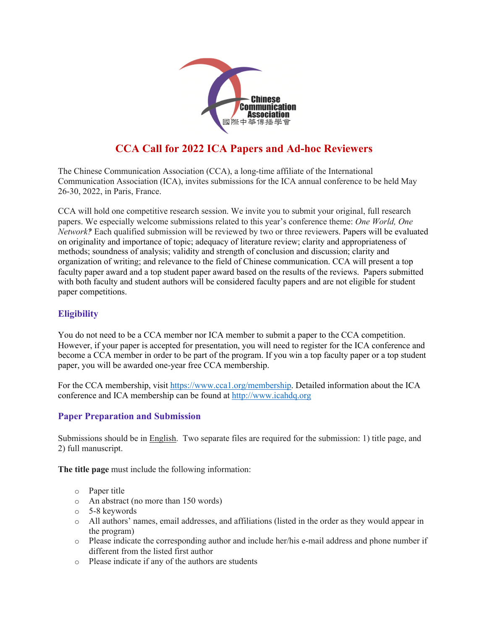

# **CCA Call for 2022 ICA Papers and Ad-hoc Reviewers**

The Chinese Communication Association (CCA), a long-time affiliate of the International Communication Association (ICA), invites submissions for the ICA annual conference to be held May 26-30, 2022, in Paris, France.

CCA will hold one competitive research session. We invite you to submit your original, full research papers. We especially welcome submissions related to this year's conference theme: *One World, One Network*? Each qualified submission will be reviewed by two or three reviewers. Papers will be evaluated on originality and importance of topic; adequacy of literature review; clarity and appropriateness of methods; soundness of analysis; validity and strength of conclusion and discussion; clarity and organization of writing; and relevance to the field of Chinese communication. CCA will present a top faculty paper award and a top student paper award based on the results of the reviews. Papers submitted with both faculty and student authors will be considered faculty papers and are not eligible for student paper competitions.

# **Eligibility**

You do not need to be a CCA member nor ICA member to submit a paper to the CCA competition. However, if your paper is accepted for presentation, you will need to register for the ICA conference and become a CCA member in order to be part of the program. If you win a top faculty paper or a top student paper, you will be awarded one-year free CCA membership.

For the CCA membership, visit https://www.cca1.org/membership. Detailed information about the ICA conference and ICA membership can be found at http://www.icahdq.org

# **Paper Preparation and Submission**

Submissions should be in English. Two separate files are required for the submission: 1) title page, and 2) full manuscript.

**The title page** must include the following information:

- o Paper title
- o An abstract (no more than 150 words)
- o 5-8 keywords
- o All authors' names, email addresses, and affiliations (listed in the order as they would appear in the program)
- o Please indicate the corresponding author and include her/his e-mail address and phone number if different from the listed first author
- o Please indicate if any of the authors are students